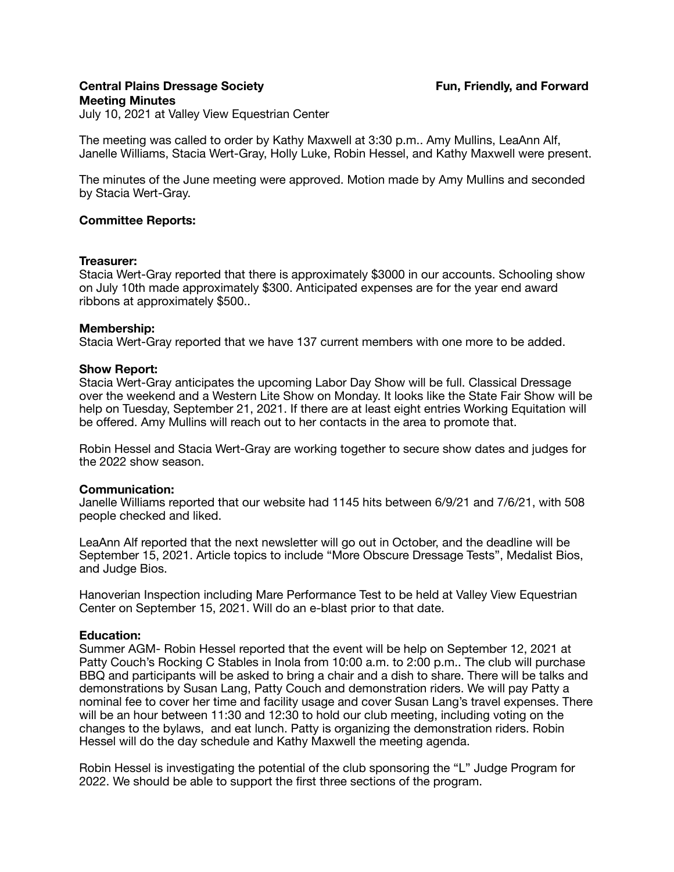# **Central Plains Dressage Society Community Community Fun, Friendly, and Forward Meeting Minutes**

July 10, 2021 at Valley View Equestrian Center

The meeting was called to order by Kathy Maxwell at 3:30 p.m.. Amy Mullins, LeaAnn Alf, Janelle Williams, Stacia Wert-Gray, Holly Luke, Robin Hessel, and Kathy Maxwell were present.

The minutes of the June meeting were approved. Motion made by Amy Mullins and seconded by Stacia Wert-Gray.

## **Committee Reports:**

#### **Treasurer:**

Stacia Wert-Gray reported that there is approximately \$3000 in our accounts. Schooling show on July 10th made approximately \$300. Anticipated expenses are for the year end award ribbons at approximately \$500..

## **Membership:**

Stacia Wert-Gray reported that we have 137 current members with one more to be added.

## **Show Report:**

Stacia Wert-Gray anticipates the upcoming Labor Day Show will be full. Classical Dressage over the weekend and a Western Lite Show on Monday. It looks like the State Fair Show will be help on Tuesday, September 21, 2021. If there are at least eight entries Working Equitation will be offered. Amy Mullins will reach out to her contacts in the area to promote that.

Robin Hessel and Stacia Wert-Gray are working together to secure show dates and judges for the 2022 show season.

## **Communication:**

Janelle Williams reported that our website had 1145 hits between 6/9/21 and 7/6/21, with 508 people checked and liked.

LeaAnn Alf reported that the next newsletter will go out in October, and the deadline will be September 15, 2021. Article topics to include "More Obscure Dressage Tests", Medalist Bios, and Judge Bios.

Hanoverian Inspection including Mare Performance Test to be held at Valley View Equestrian Center on September 15, 2021. Will do an e-blast prior to that date.

## **Education:**

Summer AGM- Robin Hessel reported that the event will be help on September 12, 2021 at Patty Couch's Rocking C Stables in Inola from 10:00 a.m. to 2:00 p.m.. The club will purchase BBQ and participants will be asked to bring a chair and a dish to share. There will be talks and demonstrations by Susan Lang, Patty Couch and demonstration riders. We will pay Patty a nominal fee to cover her time and facility usage and cover Susan Lang's travel expenses. There will be an hour between 11:30 and 12:30 to hold our club meeting, including voting on the changes to the bylaws, and eat lunch. Patty is organizing the demonstration riders. Robin Hessel will do the day schedule and Kathy Maxwell the meeting agenda.

Robin Hessel is investigating the potential of the club sponsoring the "L" Judge Program for 2022. We should be able to support the first three sections of the program.